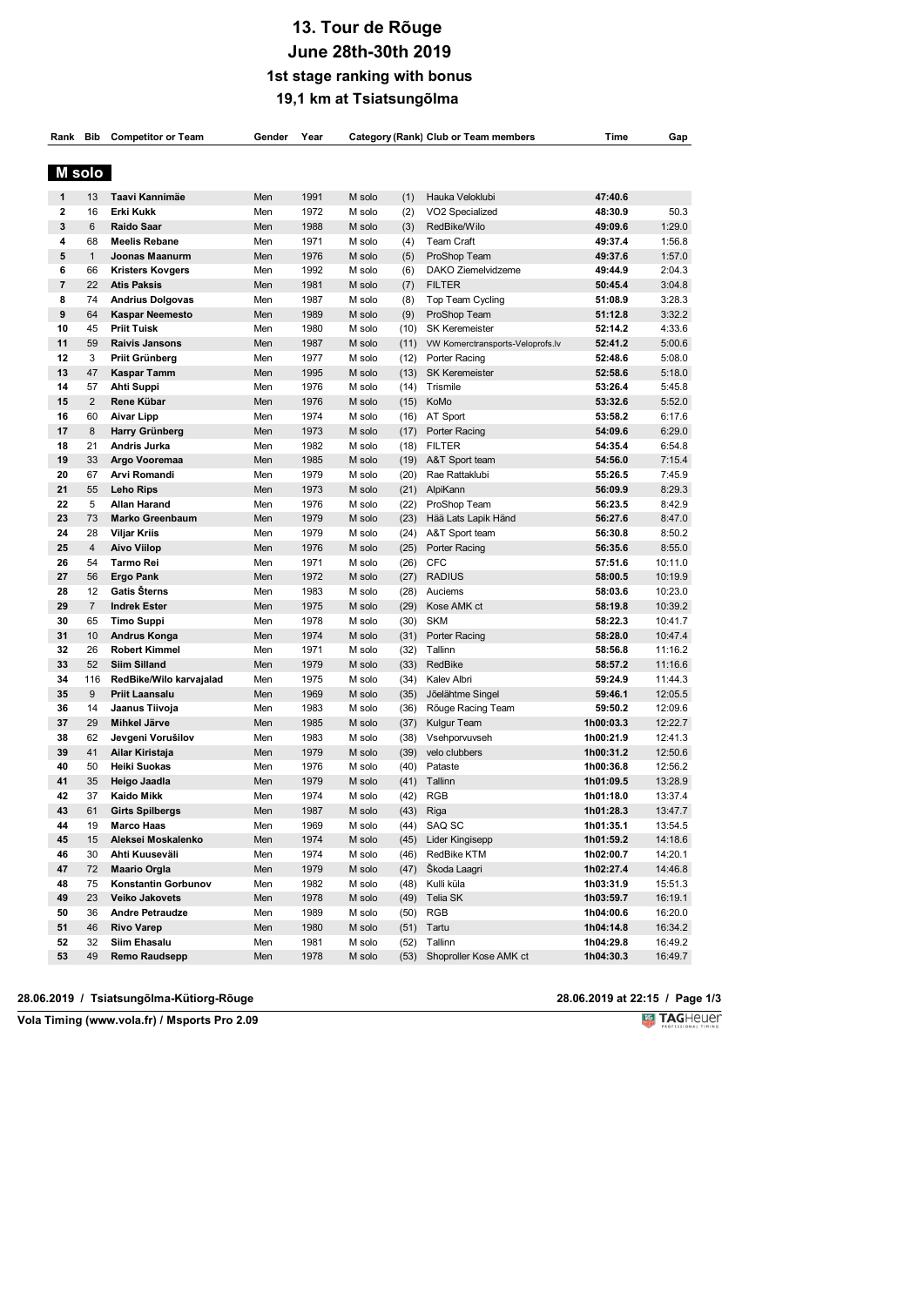# **13. Tour de Rõuge June 28th-30th 2019 1st stage ranking with bonus 19,1 km at Tsiatsungõlma**

|                |                | Rank Bib Competitor or Team       | Gender | Year |        |      | Category (Rank) Club or Team members | Time      | Gap                |
|----------------|----------------|-----------------------------------|--------|------|--------|------|--------------------------------------|-----------|--------------------|
| M solo         |                |                                   |        |      |        |      |                                      |           |                    |
| 1              | 13             | Taavi Kannimäe                    | Men    | 1991 | M solo | (1)  | Hauka Veloklubi                      | 47:40.6   |                    |
| $\mathbf{2}$   | 16             | <b>Erki Kukk</b>                  | Men    | 1972 | M solo | (2)  | VO2 Specialized                      | 48:30.9   | 50.3               |
| 3              | 6              | Raido Saar                        | Men    | 1988 | M solo | (3)  | RedBike/Wilo                         | 49:09.6   | 1:29.0             |
| 4              | 68             | <b>Meelis Rebane</b>              | Men    | 1971 | M solo | (4)  | <b>Team Craft</b>                    | 49:37.4   | 1:56.8             |
| 5              | $\mathbf{1}$   | Joonas Maanurm                    | Men    | 1976 | M solo | (5)  | ProShop Team                         | 49:37.6   | 1:57.0             |
| 6              | 66             | <b>Kristers Kovgers</b>           | Men    | 1992 | M solo | (6)  | DAKO Ziemelvidzeme                   | 49:44.9   | 2:04.3             |
| $\overline{7}$ | 22             | <b>Atis Paksis</b>                | Men    | 1981 | M solo | (7)  | <b>FILTER</b>                        | 50:45.4   | 3:04.8             |
| 8              | 74             | <b>Andrius Dolgovas</b>           | Men    | 1987 | M solo | (8)  | Top Team Cycling                     | 51:08.9   | 3:28.3             |
| 9              | 64             | <b>Kaspar Neemesto</b>            | Men    | 1989 | M solo | (9)  | ProShop Team                         | 51:12.8   | 3:32.2             |
| 10             | 45             | <b>Priit Tuisk</b>                | Men    | 1980 | M solo | (10) | <b>SK Keremeister</b>                | 52:14.2   | 4:33.6             |
| 11             | 59             | <b>Raivis Jansons</b>             | Men    | 1987 | M solo | (11) | VW Komerctransports-Veloprofs.lv     | 52:41.2   | 5:00.6             |
| 12             | 3              | <b>Priit Grünberg</b>             | Men    | 1977 | M solo | (12) | Porter Racing                        | 52:48.6   | 5:08.0             |
| 13             | 47             | Kaspar Tamm                       | Men    | 1995 | M solo | (13) | <b>SK Keremeister</b>                | 52:58.6   | 5:18.0             |
| 14             | 57             | Ahti Suppi                        | Men    | 1976 | M solo | (14) | Trismile                             | 53:26.4   | 5:45.8             |
| 15             | $\overline{2}$ | Rene Kübar                        | Men    | 1976 | M solo | (15) | KoMo                                 | 53:32.6   | 5:52.0             |
| 16             | 60             | <b>Aivar Lipp</b>                 | Men    | 1974 | M solo |      | (16) AT Sport                        | 53:58.2   | 6:17.6             |
| 17             | 8              | Harry Grünberg                    | Men    | 1973 | M solo | (17) | Porter Racing                        | 54:09.6   | 6:29.0             |
| 18             | 21             | Andris Jurka                      | Men    | 1982 | M solo | (18) | <b>FILTER</b>                        | 54:35.4   | 6:54.8             |
| 19             | 33             | Argo Vooremaa                     | Men    | 1985 | M solo | (19) | A&T Sport team                       | 54:56.0   | 7:15.4             |
| 20             | 67             | Arvi Romandi                      | Men    | 1979 | M solo | (20) | Rae Rattaklubi                       | 55:26.5   | 7:45.9             |
| 21             | 55             | <b>Leho Rips</b>                  | Men    | 1973 | M solo | (21) | AlpiKann                             | 56:09.9   | 8:29.3             |
| 22             | 5              | Allan Harand                      | Men    | 1976 | M solo | (22) | ProShop Team                         | 56:23.5   | 8:42.9             |
| 23             | 73             | <b>Marko Greenbaum</b>            | Men    | 1979 | M solo | (23) | Hää Lats Lapik Händ                  | 56:27.6   | 8:47.0             |
| 24             | 28             | <b>Viljar Kriis</b>               | Men    | 1979 | M solo | (24) | A&T Sport team                       | 56:30.8   | 8:50.2             |
| 25             | $\overline{4}$ | <b>Aivo Viilop</b>                | Men    | 1976 | M solo | (25) | Porter Racing                        | 56:35.6   | 8:55.0             |
| 26             | 54             | Tarmo Rei                         | Men    | 1971 | M solo | (26) | <b>CFC</b>                           | 57:51.6   | 10:11.0            |
| 27             | 56             | <b>Ergo Pank</b>                  | Men    | 1972 | M solo | (27) | <b>RADIUS</b>                        | 58:00.5   | 10:19.9            |
| 28             | 12             | Gatis Šterns                      | Men    | 1983 | M solo | (28) | Auciems                              | 58:03.6   | 10:23.0            |
| 29             | $\overline{7}$ | <b>Indrek Ester</b>               | Men    | 1975 | M solo | (29) | Kose AMK ct                          | 58:19.8   | 10:39.2            |
| 30             | 65             | <b>Timo Suppi</b>                 | Men    | 1978 | M solo | (30) | <b>SKM</b>                           | 58:22.3   | 10:41.7            |
| 31             | 10             | <b>Andrus Konga</b>               | Men    | 1974 | M solo | (31) | Porter Racing                        | 58:28.0   | 10:47.4            |
| 32             | 26             | <b>Robert Kimmel</b>              | Men    | 1971 | M solo | (32) | Tallinn                              | 58:56.8   | 11:16.2            |
| 33             | 52             | Siim Silland                      | Men    | 1979 | M solo | (33) | RedBike                              | 58:57.2   | 11:16.6            |
| 34             | 116            | RedBike/Wilo karvajalad           | Men    | 1975 | M solo | (34) | Kalev Albri                          | 59:24.9   | 11:44.3            |
| 35             | 9              | Priit Laansalu                    | Men    | 1969 | M solo | (35) | Jõelähtme Singel                     | 59:46.1   | 12:05.5            |
| 36             | 14             | Jaanus Tiivoja                    | Men    | 1983 | M solo | (36) | Rõuge Racing Team                    | 59:50.2   | 12:09.6            |
| 37             | 29             | Mihkel Järve                      | Men    | 1985 | M solo | (37) | Kulgur Team                          | 1h00:03.3 | 12:22.7            |
| 38             | 62             | Jevgeni Vorušilov                 | Men    | 1983 | M solo | (38) | Vsehporvuvseh                        | 1h00:21.9 | 12:41.3            |
| 39             | 41             | Ailar Kiristaja                   | Men    | 1979 | M solo | (39) | velo clubbers                        | 1h00:31.2 | 12:50.6            |
| 40             | 50             | Heiki Suokas                      | Men    | 1976 | M solo | (40) | Pataste                              | 1h00:36.8 | 12:56.2            |
| 41             | 35             | Heigo Jaadla                      | Men    | 1979 | M solo | (41) | Tallinn                              | 1h01:09.5 | 13:28.9            |
| 42             | 37             | <b>Kaido Mikk</b>                 | Men    | 1974 | M solo | (42) | <b>RGB</b>                           | 1h01:18.0 | 13:37.4            |
| 43             | 61             | <b>Girts Spilbergs</b>            | Men    | 1987 | M solo | (43) | Riga                                 | 1h01:28.3 | 13:47.7            |
| 44             | 19             | <b>Marco Haas</b>                 | Men    | 1969 | M solo |      | $(44)$ SAQ SC                        | 1h01:35.1 | 13:54.5            |
| 45             | 15             | Aleksei Moskalenko                | Men    | 1974 | M solo |      | (45) Lider Kingisepp                 | 1h01:59.2 | 14:18.6            |
| 46             | 30             | Ahti Kuuseväli                    | Men    | 1974 | M solo | (46) | RedBike KTM                          | 1h02:00.7 | 14:20.1            |
| 47             | 72             | <b>Maario Orgla</b>               | Men    | 1979 | M solo |      | (47) Škoda Laagri                    | 1h02:27.4 | 14:46.8            |
| 48             | 75             | Konstantin Gorbunov               | Men    | 1982 | M solo |      | (48) Kulli küla                      | 1h03:31.9 | 15:51.3            |
| 49             | 23             | Veiko Jakovets                    | Men    | 1978 | M solo |      | (49) Telia SK                        | 1h03:59.7 | 16:19.1            |
| 50             | 36             | <b>Andre Petraudze</b>            | Men    | 1989 | M solo |      | $(50)$ RGB                           | 1h04:00.6 | 16:20.0            |
| 51             | 46             | <b>Rivo Varep</b><br>Siim Ehasalu | Men    | 1980 | M solo | (51) | Tartu                                | 1h04:14.8 | 16:34.2<br>16:49.2 |
| 52             | 32             |                                   | Men    | 1981 | M solo | (52) | Tallinn                              | 1h04:29.8 | 16:49.7            |
| 53             | 49             | Remo Raudsepp                     | Men    | 1978 | M solo | (53) | Shoproller Kose AMK ct               | 1h04:30.3 |                    |

### **28.06.2019 / Tsiatsungõlma-Kütiorg-Rõuge 28.06.2019 at 22:15 / Page 1/3**

**28.06.2019 at 22:15 / Page 1/3<br>
<b>Volta** TAGHeuer

**Vola Timing (www.vola.fr) / Msports Pro 2.09**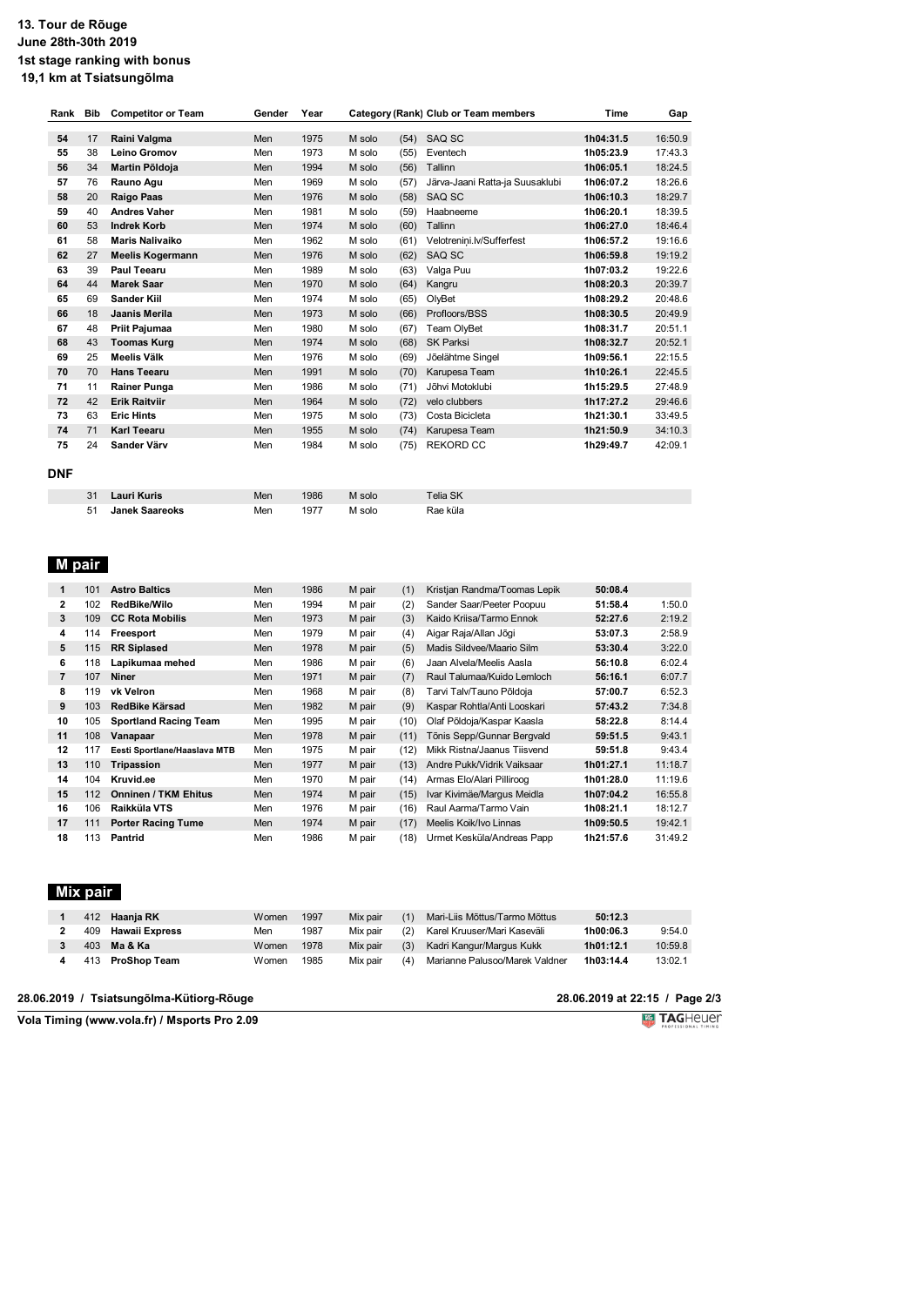#### **13. Tour de Rõuge June 28th-30th 2019 1st stage ranking with bonus 19,1 km at Tsiatsungõlma**

| Rank       | Bib | <b>Competitor or Team</b> | Gender | Year |        |      | Category (Rank) Club or Team members | Time      | Gap     |
|------------|-----|---------------------------|--------|------|--------|------|--------------------------------------|-----------|---------|
|            |     |                           |        |      |        |      |                                      |           |         |
| 54         | 17  | Raini Valgma              | Men    | 1975 | M solo | (54) | SAQ SC                               | 1h04:31.5 | 16:50.9 |
| 55         | 38  | <b>Leino Gromov</b>       | Men    | 1973 | M solo | (55) | Eventech                             | 1h05:23.9 | 17:43.3 |
| 56         | 34  | Martin Põldoja            | Men    | 1994 | M solo | (56) | Tallinn                              | 1h06:05.1 | 18:24.5 |
| 57         | 76  | Rauno Agu                 | Men    | 1969 | M solo | (57) | Järva-Jaani Ratta-ja Suusaklubi      | 1h06:07.2 | 18:26.6 |
| 58         | 20  | <b>Raigo Paas</b>         | Men    | 1976 | M solo | (58) | SAQ SC                               | 1h06:10.3 | 18:29.7 |
| 59         | 40  | <b>Andres Vaher</b>       | Men    | 1981 | M solo | (59) | Haabneeme                            | 1h06:20.1 | 18:39.5 |
| 60         | 53  | <b>Indrek Korb</b>        | Men    | 1974 | M solo | (60) | Tallinn                              | 1h06:27.0 | 18:46.4 |
| 61         | 58  | <b>Maris Nalivaiko</b>    | Men    | 1962 | M solo | (61) | Velotrenini.lv/Sufferfest            | 1h06:57.2 | 19:16.6 |
| 62         | 27  | <b>Meelis Kogermann</b>   | Men    | 1976 | M solo | (62) | SAQ SC                               | 1h06:59.8 | 19:19.2 |
| 63         | 39  | <b>Paul Teearu</b>        | Men    | 1989 | M solo | (63) | Valga Puu                            | 1h07:03.2 | 19:22.6 |
| 64         | 44  | <b>Marek Saar</b>         | Men    | 1970 | M solo | (64) | Kangru                               | 1h08:20.3 | 20:39.7 |
| 65         | 69  | <b>Sander Kill</b>        | Men    | 1974 | M solo | (65) | OlyBet                               | 1h08:29.2 | 20:48.6 |
| 66         | 18  | <b>Jaanis Merila</b>      | Men    | 1973 | M solo | (66) | Profloors/BSS                        | 1h08:30.5 | 20:49.9 |
| 67         | 48  | Priit Pajumaa             | Men    | 1980 | M solo | (67) | Team OlyBet                          | 1h08:31.7 | 20:51.1 |
| 68         | 43  | <b>Toomas Kurg</b>        | Men    | 1974 | M solo | (68) | <b>SK Parksi</b>                     | 1h08:32.7 | 20:52.1 |
| 69         | 25  | <b>Meelis Välk</b>        | Men    | 1976 | M solo | (69) | Jõelähtme Singel                     | 1h09:56.1 | 22:15.5 |
| 70         | 70  | <b>Hans Teearu</b>        | Men    | 1991 | M solo | (70) | Karupesa Team                        | 1h10:26.1 | 22:45.5 |
| 71         | 11  | <b>Rainer Punga</b>       | Men    | 1986 | M solo | (71) | Jõhvi Motoklubi                      | 1h15:29.5 | 27:48.9 |
| 72         | 42  | <b>Erik Raitviir</b>      | Men    | 1964 | M solo | (72) | velo clubbers                        | 1h17:27.2 | 29:46.6 |
| 73         | 63  | <b>Eric Hints</b>         | Men    | 1975 | M solo | (73) | Costa Bicicleta                      | 1h21:30.1 | 33:49.5 |
| 74         | 71  | <b>Karl Teearu</b>        | Men    | 1955 | M solo | (74) | Karupesa Team                        | 1h21:50.9 | 34:10.3 |
| 75         | 24  | Sander Värv               | Men    | 1984 | M solo | (75) | <b>REKORD CC</b>                     | 1h29:49.7 | 42:09.1 |
|            |     |                           |        |      |        |      |                                      |           |         |
| <b>DNF</b> |     |                           |        |      |        |      |                                      |           |         |
|            | 31  | <b>Lauri Kuris</b>        | Men    | 1986 | M solo |      | <b>Telia SK</b>                      |           |         |
|            |     |                           |        |      |        |      |                                      |           |         |

| 31   | Lauri Kuris           | Men | 1986 | M solo | Telia SK |
|------|-----------------------|-----|------|--------|----------|
| - 51 | <b>Janek Saareoks</b> | Men | 1977 | M solo | Rae küla |

## **M pair**

| 1  | 101 | <b>Astro Baltics</b>         | Men | 1986 | M pair | (1)  | Kristjan Randma/Toomas Lepik | 50:08.4   |         |
|----|-----|------------------------------|-----|------|--------|------|------------------------------|-----------|---------|
| 2  | 102 | RedBike/Wilo                 | Men | 1994 | M pair | (2)  | Sander Saar/Peeter Poopuu    | 51:58.4   | 1:50.0  |
| 3  | 109 | <b>CC Rota Mobilis</b>       | Men | 1973 | M pair | (3)  | Kaido Kriisa/Tarmo Ennok     | 52:27.6   | 2:19.2  |
| 4  | 114 | Freesport                    | Men | 1979 | M pair | (4)  | Aigar Raja/Allan Jõgi        | 53:07.3   | 2:58.9  |
| 5  | 115 | <b>RR Siplased</b>           | Men | 1978 | M pair | (5)  | Madis Sildvee/Maario Silm    | 53:30.4   | 3:22.0  |
| 6  | 118 | Lapikumaa mehed              | Men | 1986 | M pair | (6)  | Jaan Alvela/Meelis Aasla     | 56:10.8   | 6:02.4  |
| 7  | 107 | <b>Niner</b>                 | Men | 1971 | M pair | (7)  | Raul Talumaa/Kuido Lemloch   | 56:16.1   | 6:07.7  |
| 8  | 119 | vk Velron                    | Men | 1968 | M pair | (8)  | Tarvi Talv/Tauno Põldoja     | 57:00.7   | 6:52.3  |
| 9  | 103 | RedBike Kärsad               | Men | 1982 | M pair | (9)  | Kaspar Rohtla/Anti Looskari  | 57:43.2   | 7:34.8  |
| 10 | 105 | <b>Sportland Racing Team</b> | Men | 1995 | M pair | (10) | Olaf Põldoja/Kaspar Kaasla   | 58:22.8   | 8:14.4  |
| 11 | 108 | Vanapaar                     | Men | 1978 | M pair | (11) | Tõnis Sepp/Gunnar Bergvald   | 59:51.5   | 9:43.1  |
| 12 | 117 | Eesti Sportlane/Haaslava MTB | Men | 1975 | M pair | (12) | Mikk Ristna/Jaanus Tiisvend  | 59:51.8   | 9:43.4  |
| 13 | 110 | Tripassion                   | Men | 1977 | M pair | (13) | Andre Pukk/Vidrik Vaiksaar   | 1h01:27.1 | 11:18.7 |
| 14 | 104 | Kruvid.ee                    | Men | 1970 | M pair | (14) | Armas Elo/Alari Pilliroog    | 1h01:28.0 | 11:19.6 |
| 15 | 112 | <b>Onninen / TKM Ehitus</b>  | Men | 1974 | M pair | (15) | Ivar Kivimäe/Margus Meidla   | 1h07:04.2 | 16:55.8 |
| 16 | 106 | Raikküla VTS                 | Men | 1976 | M pair | (16) | Raul Aarma/Tarmo Vain        | 1h08:21.1 | 18:12.7 |
| 17 | 111 | <b>Porter Racing Tume</b>    | Men | 1974 | M pair | (17) | Meelis Koik/Ivo Linnas       | 1h09:50.5 | 19:42.1 |
| 18 | 113 | Pantrid                      | Men | 1986 | M pair | (18) | Urmet Kesküla/Andreas Papp   | 1h21:57.6 | 31:49.2 |

### **Mix pair**

|  | 412 Haania RK          | Women | 1997 | Mix pair | (1) | Mari-Liis Mõttus/Tarmo Mõttus  | 50:12.3   |         |
|--|------------------------|-------|------|----------|-----|--------------------------------|-----------|---------|
|  | 409 Hawaii Express     | Men   | 1987 | Mix pair | (2) | Karel Kruuser/Mari Kaseväli    | 1h00:06.3 | 9:54.0  |
|  | 403 <b>Ma &amp; Ka</b> | Women | 1978 | Mix pair | (3) | Kadri Kangur/Margus Kukk       | 1h01:12.1 | 10:59.8 |
|  | 413 ProShop Team       | Women | 1985 | Mix pair | (4) | Marianne Palusoo/Marek Valdner | 1h03:14.4 | 13:02.1 |

|  | 28.06.2019 / Tsiatsungölma-Kütiorg-Röuge |  |
|--|------------------------------------------|--|
|--|------------------------------------------|--|

**28.06.2019 at 22:15 / Page 2/3** 

**Vola Timing (www.vola.fr) / Msports Pro 2.09**

**Voltage TAGHEUER**